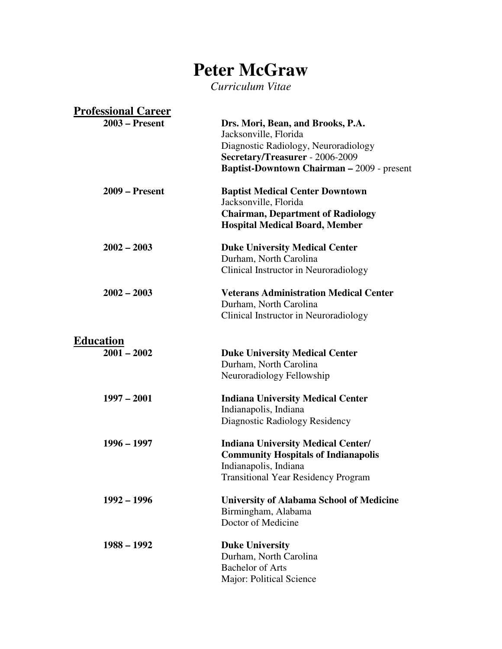# **Peter McGraw**

*Curriculum Vitae* 

| <b>Professional Career</b>        |                                                                                                                                                                |
|-----------------------------------|----------------------------------------------------------------------------------------------------------------------------------------------------------------|
| $2003$ – Present                  | Drs. Mori, Bean, and Brooks, P.A.<br>Jacksonville, Florida<br>Diagnostic Radiology, Neuroradiology                                                             |
|                                   | Secretary/Treasurer - 2006-2009<br><b>Baptist-Downtown Chairman - 2009 - present</b>                                                                           |
| $2009$ – Present                  | <b>Baptist Medical Center Downtown</b><br>Jacksonville, Florida<br><b>Chairman, Department of Radiology</b><br><b>Hospital Medical Board, Member</b>           |
| $2002 - 2003$                     | <b>Duke University Medical Center</b><br>Durham, North Carolina<br>Clinical Instructor in Neuroradiology                                                       |
| $2002 - 2003$                     | <b>Veterans Administration Medical Center</b><br>Durham, North Carolina<br>Clinical Instructor in Neuroradiology                                               |
| <b>Education</b><br>$2001 - 2002$ | <b>Duke University Medical Center</b><br>Durham, North Carolina<br>Neuroradiology Fellowship                                                                   |
| $1997 - 2001$                     | <b>Indiana University Medical Center</b><br>Indianapolis, Indiana<br>Diagnostic Radiology Residency                                                            |
| $1996 - 1997$                     | <b>Indiana University Medical Center/</b><br><b>Community Hospitals of Indianapolis</b><br>Indianapolis, Indiana<br><b>Transitional Year Residency Program</b> |
| $1992 - 1996$                     | <b>University of Alabama School of Medicine</b><br>Birmingham, Alabama<br>Doctor of Medicine                                                                   |
| $1988 - 1992$                     | <b>Duke University</b><br>Durham, North Carolina<br><b>Bachelor of Arts</b><br>Major: Political Science                                                        |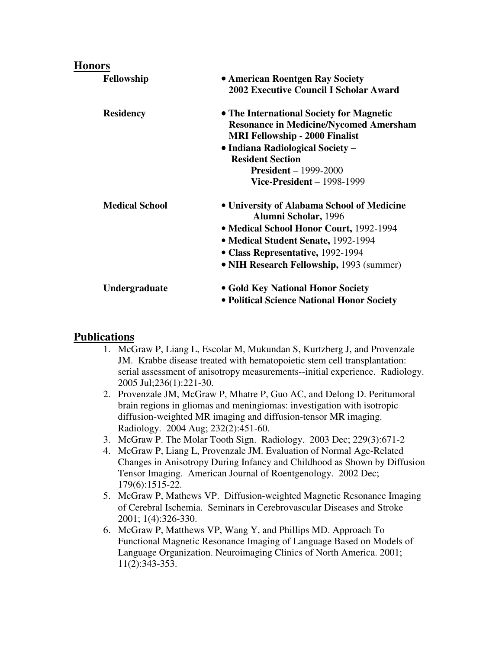#### **Honors**

| Fellowship            | • American Roentgen Ray Society<br><b>2002 Executive Council I Scholar Award</b>                                                                                       |
|-----------------------|------------------------------------------------------------------------------------------------------------------------------------------------------------------------|
| <b>Residency</b>      | • The International Society for Magnetic<br><b>Resonance in Medicine/Nycomed Amersham</b><br><b>MRI Fellowship - 2000 Finalist</b><br>· Indiana Radiological Society - |
|                       | <b>Resident Section</b>                                                                                                                                                |
|                       | $President - 1999-2000$<br>Vice-President $-1998-1999$                                                                                                                 |
| <b>Medical School</b> | • University of Alabama School of Medicine<br>Alumni Scholar, 1996                                                                                                     |
|                       | • Medical School Honor Court, 1992-1994                                                                                                                                |
|                       | • Medical Student Senate, 1992-1994                                                                                                                                    |
|                       | • Class Representative, 1992-1994                                                                                                                                      |
|                       | • NIH Research Fellowship, 1993 (summer)                                                                                                                               |
| <b>Undergraduate</b>  | • Gold Key National Honor Society                                                                                                                                      |
|                       | • Political Science National Honor Society                                                                                                                             |

#### **Publications**

- 1. McGraw P, Liang L, Escolar M, Mukundan S, Kurtzberg J, and Provenzale JM. Krabbe disease treated with hematopoietic stem cell transplantation: serial assessment of anisotropy measurements--initial experience. Radiology. 2005 Jul;236(1):221-30.
- 2. Provenzale JM, McGraw P, Mhatre P, Guo AC, and Delong D. Peritumoral brain regions in gliomas and meningiomas: investigation with isotropic diffusion-weighted MR imaging and diffusion-tensor MR imaging. Radiology. 2004 Aug; 232(2):451-60.
- 3. McGraw P. The Molar Tooth Sign. Radiology. 2003 Dec; 229(3):671-2
- 4. McGraw P, Liang L, Provenzale JM. Evaluation of Normal Age-Related Changes in Anisotropy During Infancy and Childhood as Shown by Diffusion Tensor Imaging. American Journal of Roentgenology. 2002 Dec; 179(6):1515-22.
- 5. McGraw P, Mathews VP. Diffusion-weighted Magnetic Resonance Imaging of Cerebral Ischemia. Seminars in Cerebrovascular Diseases and Stroke 2001; 1(4):326-330.
- 6. McGraw P, Matthews VP, Wang Y, and Phillips MD. Approach To Functional Magnetic Resonance Imaging of Language Based on Models of Language Organization. Neuroimaging Clinics of North America. 2001; 11(2):343-353.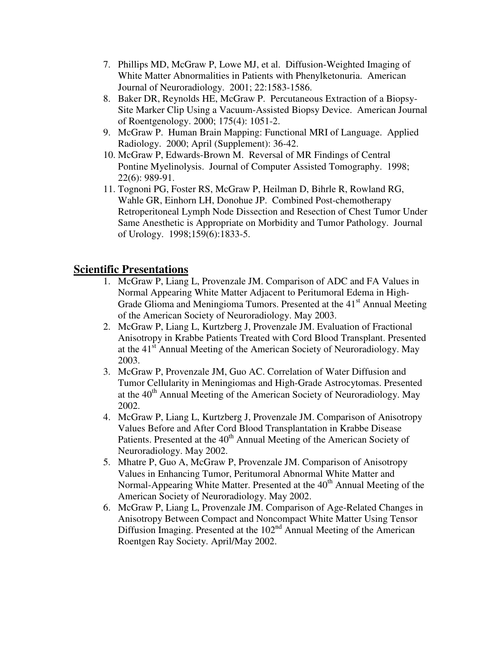- 7. Phillips MD, McGraw P, Lowe MJ, et al. Diffusion-Weighted Imaging of White Matter Abnormalities in Patients with Phenylketonuria. American Journal of Neuroradiology. 2001; 22:1583-1586.
- 8. Baker DR, Reynolds HE, McGraw P. Percutaneous Extraction of a Biopsy-Site Marker Clip Using a Vacuum-Assisted Biopsy Device. American Journal of Roentgenology. 2000; 175(4): 1051-2.
- 9. McGraw P. Human Brain Mapping: Functional MRI of Language. Applied Radiology. 2000; April (Supplement): 36-42.
- 10. McGraw P, Edwards-Brown M. Reversal of MR Findings of Central Pontine Myelinolysis. Journal of Computer Assisted Tomography. 1998; 22(6): 989-91.
- 11. Tognoni PG, Foster RS, McGraw P, Heilman D, Bihrle R, Rowland RG, Wahle GR, Einhorn LH, Donohue JP. Combined Post-chemotherapy Retroperitoneal Lymph Node Dissection and Resection of Chest Tumor Under Same Anesthetic is Appropriate on Morbidity and Tumor Pathology. Journal of Urology. 1998;159(6):1833-5.

### **Scientific Presentations**

- 1. McGraw P, Liang L, Provenzale JM. Comparison of ADC and FA Values in Normal Appearing White Matter Adjacent to Peritumoral Edema in High-Grade Glioma and Meningioma Tumors. Presented at the 41<sup>st</sup> Annual Meeting of the American Society of Neuroradiology. May 2003.
- 2. McGraw P, Liang L, Kurtzberg J, Provenzale JM. Evaluation of Fractional Anisotropy in Krabbe Patients Treated with Cord Blood Transplant. Presented at the 41<sup>st</sup> Annual Meeting of the American Society of Neuroradiology. May 2003.
- 3. McGraw P, Provenzale JM, Guo AC. Correlation of Water Diffusion and Tumor Cellularity in Meningiomas and High-Grade Astrocytomas. Presented at the  $40<sup>th</sup>$  Annual Meeting of the American Society of Neuroradiology. May 2002.
- 4. McGraw P, Liang L, Kurtzberg J, Provenzale JM. Comparison of Anisotropy Values Before and After Cord Blood Transplantation in Krabbe Disease Patients. Presented at the 40<sup>th</sup> Annual Meeting of the American Society of Neuroradiology. May 2002.
- 5. Mhatre P, Guo A, McGraw P, Provenzale JM. Comparison of Anisotropy Values in Enhancing Tumor, Peritumoral Abnormal White Matter and Normal-Appearing White Matter. Presented at the 40<sup>th</sup> Annual Meeting of the American Society of Neuroradiology. May 2002.
- 6. McGraw P, Liang L, Provenzale JM. Comparison of Age-Related Changes in Anisotropy Between Compact and Noncompact White Matter Using Tensor Diffusion Imaging. Presented at the  $102<sup>nd</sup>$  Annual Meeting of the American Roentgen Ray Society. April/May 2002.